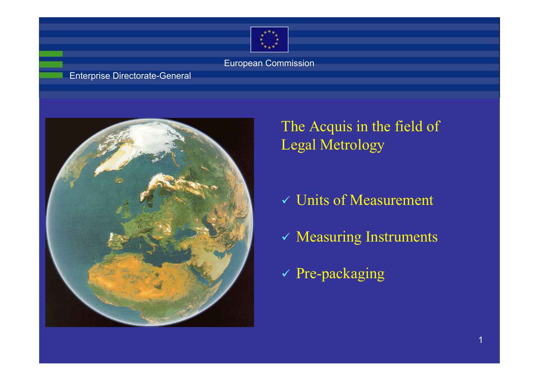

#### Enterprise Directorate-General



### The Acquis in the field of Legal Metrology

- $\checkmark$  Units of Measurement
- $\checkmark$  Measuring Instruments
- 9 Pre-packaging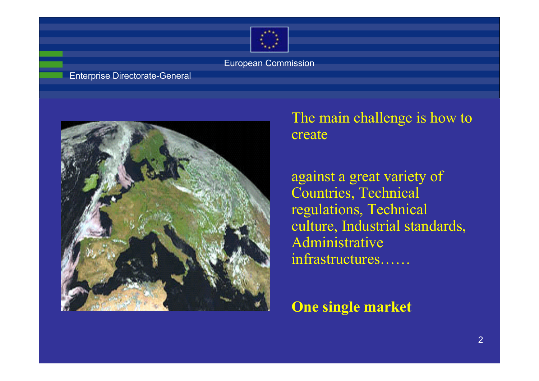

#### Enterprise Directorate-General



### The main challenge is how to create

against a great variety of Countries, Technical regulations, Technical culture, Industrial standards, Administrative infrastructures……

**One single market**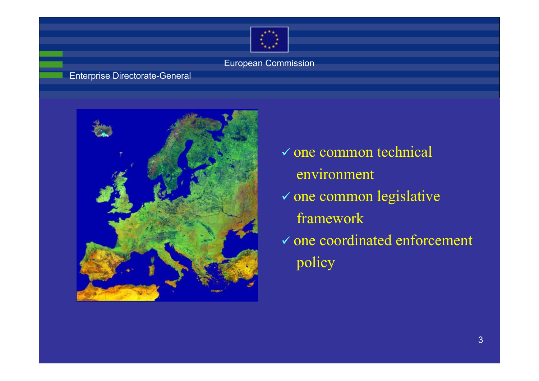

### Enterprise Directorate-General



 $\checkmark$  one common technical environment  $\checkmark$  one common legislative framework  $\checkmark$  one coordinated enforcement policy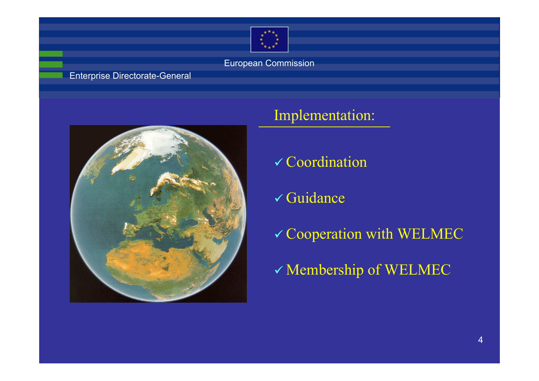

#### Enterprise Directorate-General



### Implementation:

- $\checkmark$  Coordination
- **√ Guidance**
- $\checkmark$  Cooperation with WELMEC
- $\checkmark$  Membership of WELMEC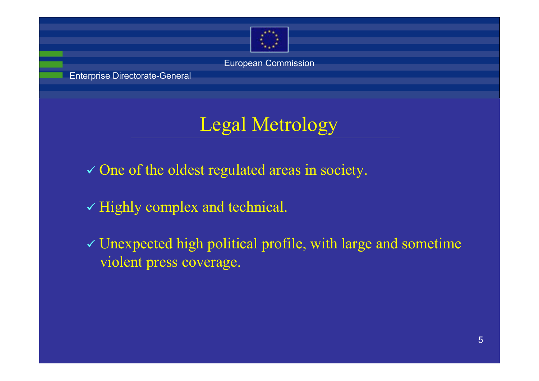

Enterprise Directorate-General

# Legal Metrology

- $\checkmark$  One of the oldest regulated areas in society.
- $\checkmark$  Highly complex and technical.
- $\checkmark$  Unexpected high political profile, with large and sometime violent press coverage.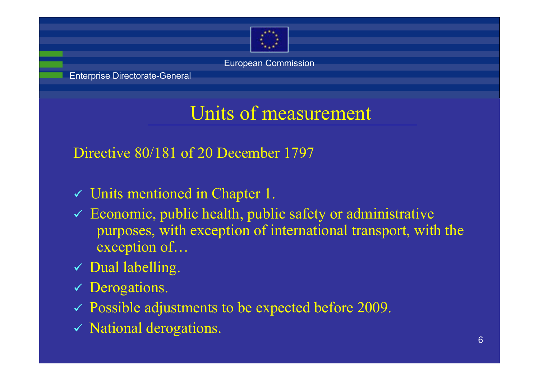

Enterprise Directorate-General

# Units of measurement

Directive 80/181 of 20 December 1797

- $\checkmark$  Units mentioned in Chapter 1.
- $\checkmark$  Economic, public health, public safety or administrative purposes, with exception of international transport, with the exception of…
- $\checkmark$  Dual labelling.
- ◆ Derogations.
- $\checkmark$  Possible adjustments to be expected before 2009.
- $\checkmark$  National derogations.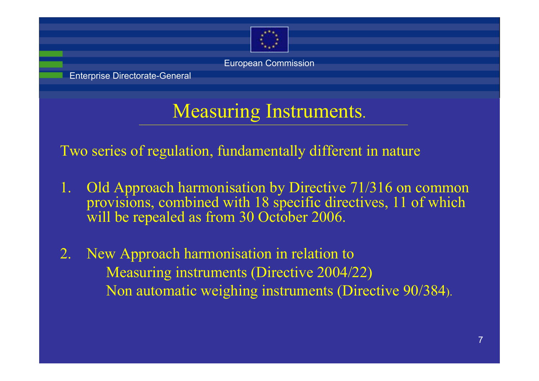

Enterprise Directorate-General

# Measuring Instruments.

Two series of regulation, fundamentally different in nature

- Old Approach harmonisation by Directive 71/316 on common provisions, combined with 18 specific directives, 11 of which will be repealed as from 30 October 2006.
- 2. New Approach harmonisation in relation to Measuring instruments (Directive 2004/22) Non automatic weighing instruments (Directive 90/384).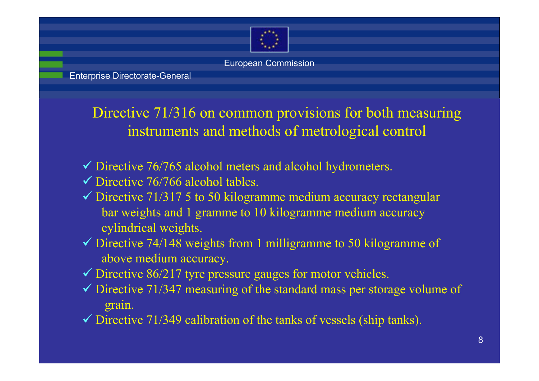

Enterprise Directorate-General

Directive 71/316 on common provisions for both measuring instruments and methods of metrological control

 $\checkmark$  Directive 76/765 alcohol meters and alcohol hydrometers.

- $\checkmark$  Directive 76/766 alcohol tables.
- $\checkmark$  Directive 71/317 5 to 50 kilogramme medium accuracy rectangular bar weights and 1 gramme to 10 kilogramme medium accuracy cylindrical weights.
- $\checkmark$  Directive 74/148 weights from 1 milligramme to 50 kilogramme of above medium accuracy.
- $\checkmark$  Directive 86/217 tyre pressure gauges for motor vehicles.
- $\checkmark$  Directive 71/347 measuring of the standard mass per storage volume of grain.
- $\checkmark$  Directive 71/349 calibration of the tanks of vessels (ship tanks).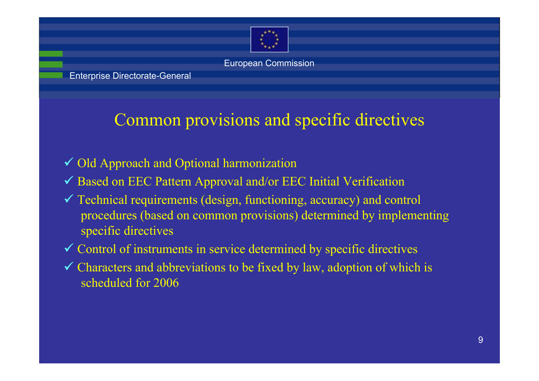

## Common provisions and specific directives

- ◆ Old Approach and Optional harmonization
- $\checkmark$  Based on EEC Pattern Approval and/or EEC Initial Verification
- $\checkmark$  Technical requirements (design, functioning, accuracy) and control procedures (based on common provisions) determined by implementing specific directives
- $\checkmark$  Control of instruments in service determined by specific directives
- $\checkmark$  Characters and abbreviations to be fixed by law, adoption of which is scheduled for 2006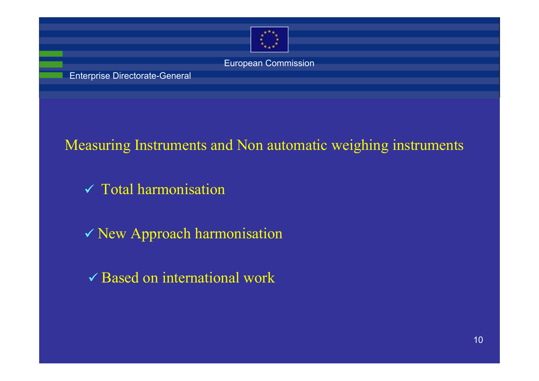

Enterprise Directorate-General

### Measuring Instruments and Non automatic weighing instruments

- $\checkmark$  Total harmonisation
- 9 New Approach harmonisation
- $\checkmark$  Based on international work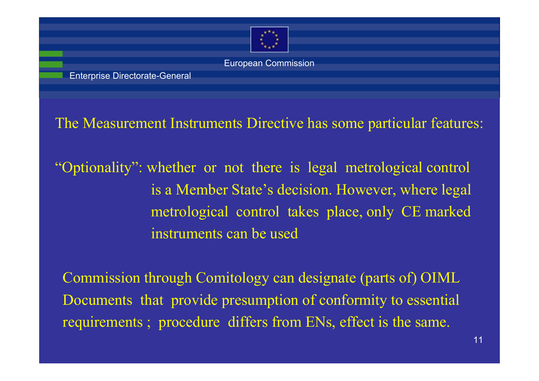

The Measurement Instruments Directive has some particular features:

"Optionality": whether or not there is legal metrological control is a Member State's decision. However, where legal metrological control takes place, only CE marked instruments can be used

Commission through Comitology can designate (parts of) OIML Documents that provide presumption of conformity to essential requirements ; procedure differs from ENs, effect is the same.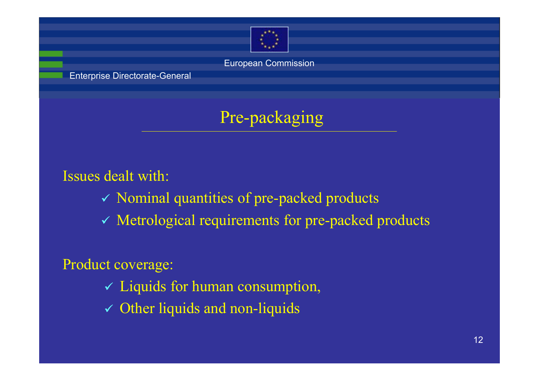

Enterprise Directorate-General

# Pre-packaging

Issues dealt with:

- $\checkmark$  Nominal quantities of pre-packed products
- $\checkmark$  Metrological requirements for pre-packed products

Product coverage:

- $\checkmark$  Liquids for human consumption,
- $\checkmark$  Other liquids and non-liquids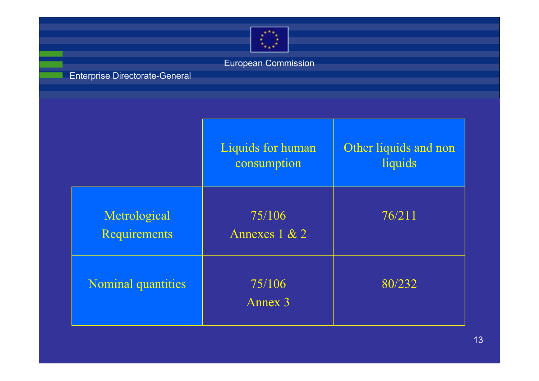

### Enterprise Directorate-General

|                                     | Liquids for human<br>consumption | Other liquids and non<br>liquids |
|-------------------------------------|----------------------------------|----------------------------------|
| Metrological<br><b>Requirements</b> | 75/106<br>Annexes $1 & 2$        | 76/211                           |
| <b>Nominal quantities</b>           | 75/106<br>Annex 3                | 80/232                           |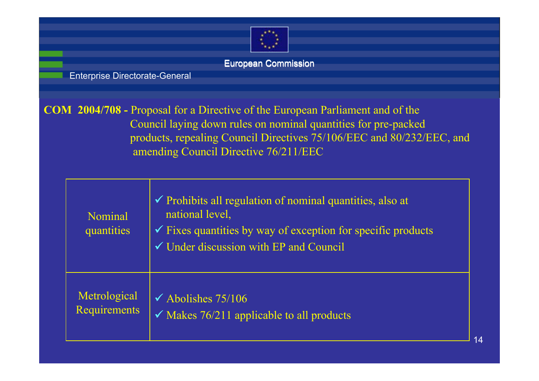

Enterprise Directorate-General

**COM 2004/708 -** Proposal for a Directive of the European Parliament and of the Council laying down rules on nominal quantities for pre-packed products, repealing Council Directives 75/106/EEC and 80/232/EEC, and amending Council Directive 76/211/EEC

| Nominal<br>quantities | $\checkmark$ Prohibits all regulation of nominal quantities, also at<br>national level.<br>$\checkmark$ Fixes quantities by way of exception for specific products<br>$\checkmark$ Under discussion with EP and Council |
|-----------------------|-------------------------------------------------------------------------------------------------------------------------------------------------------------------------------------------------------------------------|
| Metrological          | $\checkmark$ Abolishes 75/106                                                                                                                                                                                           |
| Requirements          | $\checkmark$ Makes 76/211 applicable to all products                                                                                                                                                                    |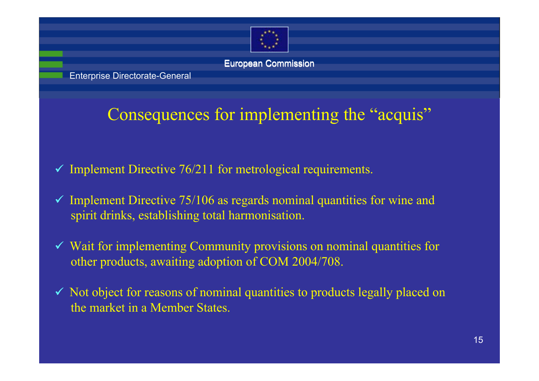

Enterprise Directorate-General

# Consequences for implementing the "acquis"

- $\checkmark$  Implement Directive 76/211 for metrological requirements.
- $\checkmark$  Implement Directive 75/106 as regards nominal quantities for wine and spirit drinks, establishing total harmonisation.
- $\checkmark$  Wait for implementing Community provisions on nominal quantities for other products, awaiting adoption of COM 2004/708.
- $\checkmark$  Not object for reasons of nominal quantities to products legally placed on the market in a Member States.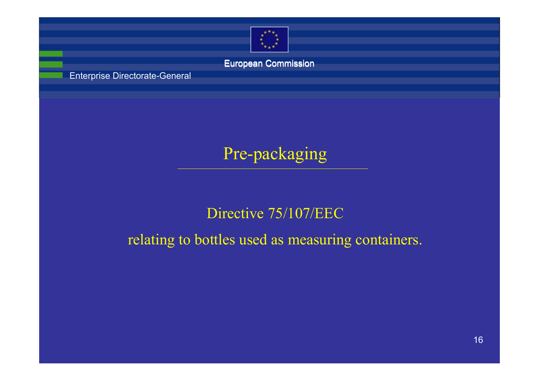

Enterprise Directorate-General

## Pre-packaging

### Directive 75/107/EEC

relating to bottles used as measuring containers.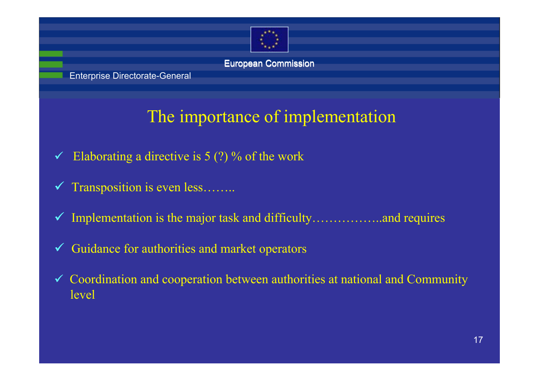

Enterprise Directorate-General

# The importance of implementation

- $\checkmark$  Elaborating a directive is 5 (?) % of the work
- $\checkmark$  Transposition is even less........
- $\checkmark$  Implementation is the major task and difficulty……………..and requires
- $\checkmark$  Guidance for authorities and market operators
- $\checkmark$  Coordination and cooperation between authorities at national and Community level